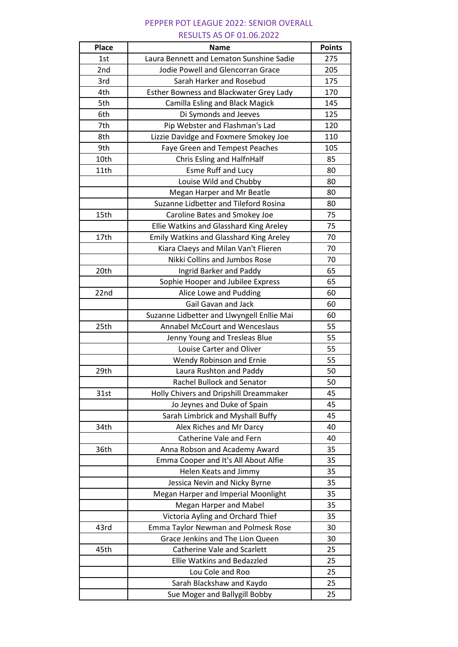## PEPPER POT LEAGUE 2022: SENIOR OVERALL RESULTS AS OF 01.06.2022

| <b>Place</b> | <b>Name</b>                                | <b>Points</b> |
|--------------|--------------------------------------------|---------------|
| 1st          | Laura Bennett and Lematon Sunshine Sadie   | 275           |
| 2nd          | Jodie Powell and Glencorran Grace          | 205           |
| 3rd          | Sarah Harker and Rosebud                   | 175           |
| 4th          | Esther Bowness and Blackwater Grey Lady    | 170           |
| 5th          | Camilla Esling and Black Magick            | 145           |
| 6th          | Di Symonds and Jeeves                      | 125           |
| 7th          | Pip Webster and Flashman's Lad             | 120           |
| 8th          | Lizzie Davidge and Foxmere Smokey Joe      | 110           |
| 9th          | Faye Green and Tempest Peaches             | 105           |
| 10th         | Chris Esling and HalfnHalf                 | 85            |
| 11th         | <b>Esme Ruff and Lucy</b>                  | 80            |
|              | Louise Wild and Chubby                     | 80            |
|              | Megan Harper and Mr Beatle                 | 80            |
|              | Suzanne Lidbetter and Tileford Rosina      | 80            |
| 15th         | Caroline Bates and Smokey Joe              | 75            |
|              | Ellie Watkins and Glasshard King Areley    | 75            |
| 17th         | Emily Watkins and Glasshard King Areley    | 70            |
|              | Kiara Claeys and Milan Van't Flieren       | 70            |
|              | Nikki Collins and Jumbos Rose              | 70            |
| 20th         | Ingrid Barker and Paddy                    | 65            |
|              | Sophie Hooper and Jubilee Express          | 65            |
| 22nd         | Alice Lowe and Pudding                     | 60            |
|              | <b>Gail Gavan and Jack</b>                 | 60            |
|              | Suzanne Lidbetter and Llwyngell Enllie Mai | 60            |
| 25th         | <b>Annabel McCourt and Wenceslaus</b>      | 55            |
|              | Jenny Young and Tresleas Blue              | 55            |
|              | Louise Carter and Oliver                   | 55            |
|              | Wendy Robinson and Ernie                   | 55            |
| 29th         | Laura Rushton and Paddy                    | 50            |
|              | <b>Rachel Bullock and Senator</b>          | 50            |
| 31st         | Holly Chivers and Dripshill Dreammaker     | 45            |
|              | Jo Jeynes and Duke of Spain                | 45            |
|              | Sarah Limbrick and Myshall Buffy           | 45            |
| 34th         | Alex Riches and Mr Darcy                   | 40            |
|              | Catherine Vale and Fern                    | 40            |
| 36th         | Anna Robson and Academy Award              | 35            |
|              | Emma Cooper and It's All About Alfie       | 35            |
|              | Helen Keats and Jimmy                      | 35            |
|              | Jessica Nevin and Nicky Byrne              | 35            |
|              | Megan Harper and Imperial Moonlight        | 35            |
|              | Megan Harper and Mabel                     | 35            |
|              | Victoria Ayling and Orchard Thief          | 35            |
| 43rd         | <b>Emma Taylor Newman and Polmesk Rose</b> | 30            |
|              | Grace Jenkins and The Lion Queen           | 30            |
| 45th         | Catherine Vale and Scarlett                | 25            |
|              | <b>Ellie Watkins and Bedazzled</b>         | 25            |
|              | Lou Cole and Roo                           | 25            |
|              | Sarah Blackshaw and Kaydo                  | 25            |
|              | Sue Moger and Ballygill Bobby              | 25            |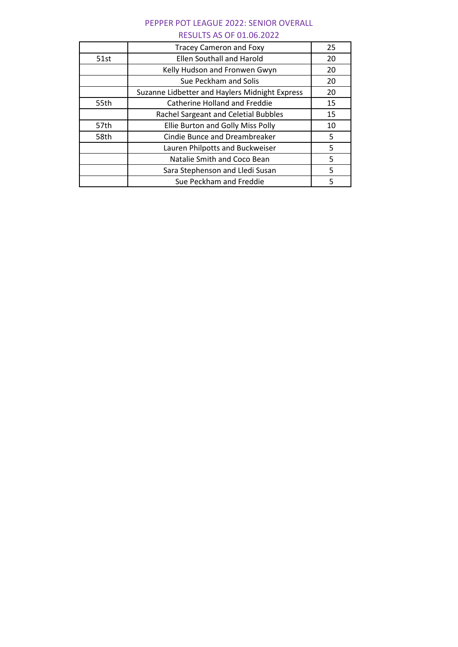## PEPPER POT LEAGUE 2022: SENIOR OVERALL RESULTS AS OF 01.06.2022

|      | <b>Tracey Cameron and Foxy</b>                 | 25 |
|------|------------------------------------------------|----|
| 51st | Ellen Southall and Harold                      | 20 |
|      | Kelly Hudson and Fronwen Gwyn                  | 20 |
|      | Sue Peckham and Solis                          | 20 |
|      | Suzanne Lidbetter and Haylers Midnight Express | 20 |
| 55th | Catherine Holland and Freddie                  | 15 |
|      | Rachel Sargeant and Celetial Bubbles           | 15 |
| 57th | Ellie Burton and Golly Miss Polly              | 10 |
| 58th | Cindie Bunce and Dreambreaker                  | 5  |
|      | Lauren Philpotts and Buckweiser                | 5  |
|      | Natalie Smith and Coco Bean                    | 5  |
|      | Sara Stephenson and Lledi Susan                | 5  |
|      | Sue Peckham and Freddie                        | 5  |
|      |                                                |    |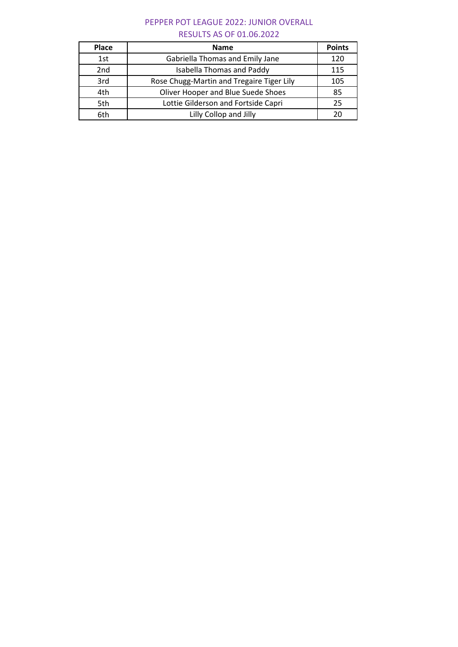# PEPPER POT LEAGUE 2022: JUNIOR OVERALL RESULTS AS OF 01.06.2022

| Place | <b>Name</b>                               | <b>Points</b> |
|-------|-------------------------------------------|---------------|
| 1st   | Gabriella Thomas and Emily Jane           | 120           |
| 2nd   | <b>Isabella Thomas and Paddy</b>          | 115           |
| 3rd   | Rose Chugg-Martin and Tregaire Tiger Lily | 105           |
| 4th   | Oliver Hooper and Blue Suede Shoes        | 85            |
| 5th   | Lottie Gilderson and Fortside Capri       | 25            |
| 6th   | Lilly Collop and Jilly                    |               |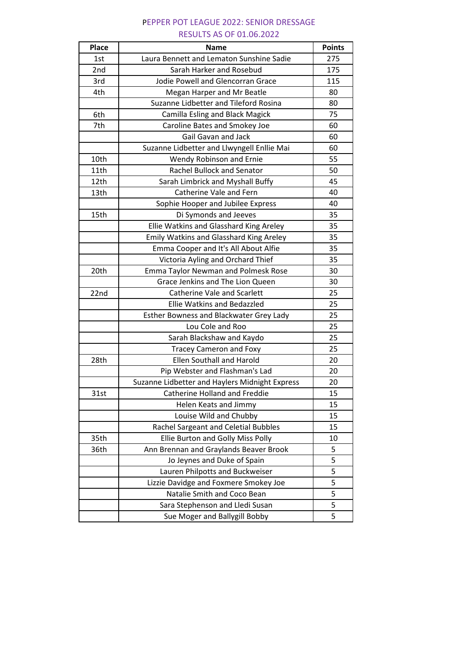## PEPPER POT LEAGUE 2022: SENIOR DRESSAGE RESULTS AS OF 01.06.2022

| <b>Place</b> | <b>Name</b>                                    | <b>Points</b> |
|--------------|------------------------------------------------|---------------|
| 1st          | Laura Bennett and Lematon Sunshine Sadie       | 275           |
| 2nd          | Sarah Harker and Rosebud                       | 175           |
| 3rd          | Jodie Powell and Glencorran Grace              | 115           |
| 4th          | Megan Harper and Mr Beatle                     | 80            |
|              | Suzanne Lidbetter and Tileford Rosina          | 80            |
| 6th          | Camilla Esling and Black Magick                | 75            |
| 7th          | Caroline Bates and Smokey Joe                  | 60            |
|              | <b>Gail Gavan and Jack</b>                     | 60            |
|              | Suzanne Lidbetter and Llwyngell Enllie Mai     | 60            |
| 10th         | Wendy Robinson and Ernie                       | 55            |
| 11th         | <b>Rachel Bullock and Senator</b>              | 50            |
| 12th         | Sarah Limbrick and Myshall Buffy               | 45            |
| 13th         | Catherine Vale and Fern                        | 40            |
|              | Sophie Hooper and Jubilee Express              | 40            |
| 15th         | Di Symonds and Jeeves                          | 35            |
|              | Ellie Watkins and Glasshard King Areley        | 35            |
|              | Emily Watkins and Glasshard King Areley        | 35            |
|              | Emma Cooper and It's All About Alfie           | 35            |
|              | Victoria Ayling and Orchard Thief              | 35            |
| 20th         | <b>Emma Taylor Newman and Polmesk Rose</b>     | 30            |
|              | <b>Grace Jenkins and The Lion Queen</b>        | 30            |
| 22nd         | <b>Catherine Vale and Scarlett</b>             | 25            |
|              | Ellie Watkins and Bedazzled                    | 25            |
|              | Esther Bowness and Blackwater Grey Lady        | 25            |
|              | Lou Cole and Roo                               | 25            |
|              | Sarah Blackshaw and Kaydo                      | 25            |
|              | <b>Tracey Cameron and Foxy</b>                 | 25            |
| 28th         | <b>Ellen Southall and Harold</b>               | 20            |
|              | Pip Webster and Flashman's Lad                 | 20            |
|              | Suzanne Lidbetter and Haylers Midnight Express | 20            |
| 31st         | Catherine Holland and Freddie                  | 15            |
|              | Helen Keats and Jimmy                          | 15            |
|              | Louise Wild and Chubby                         | 15            |
|              | Rachel Sargeant and Celetial Bubbles           | 15            |
| 35th         | Ellie Burton and Golly Miss Polly              | 10            |
| 36th         | Ann Brennan and Graylands Beaver Brook         | 5             |
|              | Jo Jeynes and Duke of Spain                    | 5             |
|              | Lauren Philpotts and Buckweiser                | 5             |
|              | Lizzie Davidge and Foxmere Smokey Joe          | 5             |
|              | Natalie Smith and Coco Bean                    | 5             |
|              | Sara Stephenson and Lledi Susan                | 5             |
|              | Sue Moger and Ballygill Bobby                  | 5             |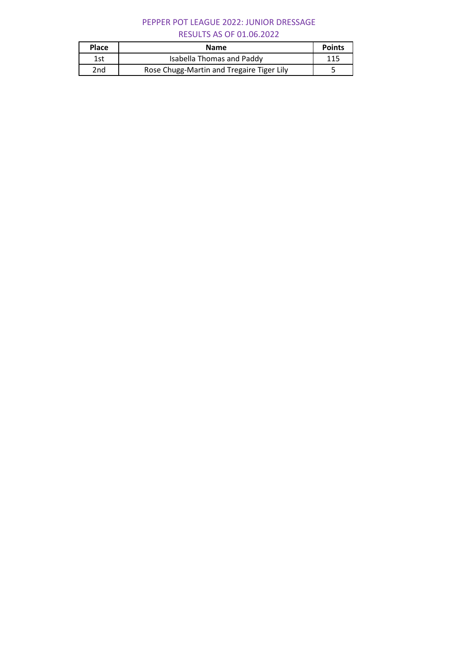### PEPPER POT LEAGUE 2022: JUNIOR DRESSAGE RESULTS AS OF 01.06.2022

| <b>Place</b> | <b>Name</b>                               | <b>Points</b> |
|--------------|-------------------------------------------|---------------|
| 1st          | <b>Isabella Thomas and Paddy</b>          | 115           |
| 2nd          | Rose Chugg-Martin and Tregaire Tiger Lily |               |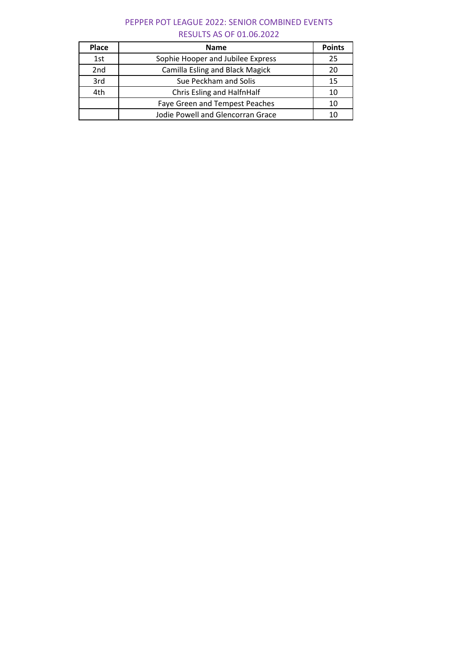# PEPPER POT LEAGUE 2022: SENIOR COMBINED EVENTS RESULTS AS OF 01.06.2022

| Place | <b>Name</b>                            | <b>Points</b> |
|-------|----------------------------------------|---------------|
| 1st   | Sophie Hooper and Jubilee Express      | 25            |
| 2nd   | <b>Camilla Esling and Black Magick</b> | 20            |
| 3rd   | Sue Peckham and Solis                  | 15            |
| 4th   | Chris Esling and HalfnHalf             | 10            |
|       | Faye Green and Tempest Peaches         | 10            |
|       | Jodie Powell and Glencorran Grace      |               |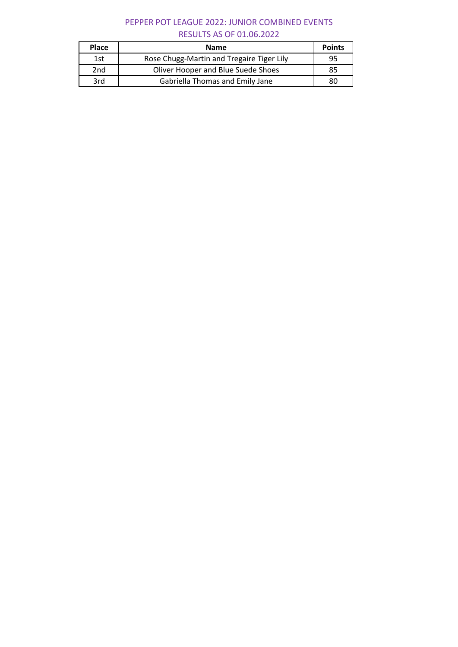# PEPPER POT LEAGUE 2022: JUNIOR COMBINED EVENTS RESULTS AS OF 01.06.2022

| <b>Place</b> | <b>Name</b>                               | <b>Points</b> |
|--------------|-------------------------------------------|---------------|
| 1st          | Rose Chugg-Martin and Tregaire Tiger Lily | 95            |
| 2nd          | Oliver Hooper and Blue Suede Shoes        | 85            |
| 3rd          | Gabriella Thomas and Emily Jane           | 80            |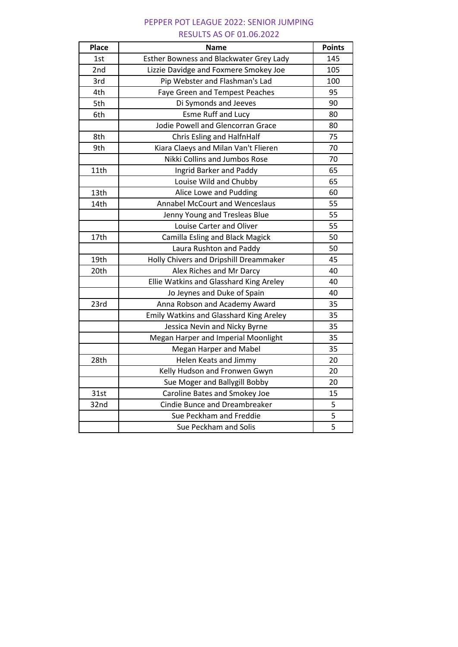### PEPPER POT LEAGUE 2022: SENIOR JUMPING RESULTS AS OF 01.06.2022

| <b>Place</b> | <b>Name</b>                             | <b>Points</b> |
|--------------|-----------------------------------------|---------------|
| 1st          | Esther Bowness and Blackwater Grey Lady | 145           |
| 2nd          | Lizzie Davidge and Foxmere Smokey Joe   | 105           |
| 3rd          | Pip Webster and Flashman's Lad          | 100           |
| 4th          | Faye Green and Tempest Peaches          | 95            |
| 5th          | Di Symonds and Jeeves                   | 90            |
| 6th          | <b>Esme Ruff and Lucy</b>               | 80            |
|              | Jodie Powell and Glencorran Grace       | 80            |
| 8th          | Chris Esling and HalfnHalf              | 75            |
| 9th          | Kiara Claeys and Milan Van't Flieren    | 70            |
|              | Nikki Collins and Jumbos Rose           | 70            |
| 11th         | Ingrid Barker and Paddy                 | 65            |
|              | Louise Wild and Chubby                  | 65            |
| 13th         | Alice Lowe and Pudding                  | 60            |
| 14th         | <b>Annabel McCourt and Wenceslaus</b>   | 55            |
|              | Jenny Young and Tresleas Blue           | 55            |
|              | Louise Carter and Oliver                | 55            |
| 17th         | <b>Camilla Esling and Black Magick</b>  | 50            |
|              | Laura Rushton and Paddy                 | 50            |
| 19th         | Holly Chivers and Dripshill Dreammaker  | 45            |
| 20th         | Alex Riches and Mr Darcy                | 40            |
|              | Ellie Watkins and Glasshard King Areley | 40            |
|              | Jo Jeynes and Duke of Spain             | 40            |
| 23rd         | Anna Robson and Academy Award           | 35            |
|              | Emily Watkins and Glasshard King Areley | 35            |
|              | Jessica Nevin and Nicky Byrne           | 35            |
|              | Megan Harper and Imperial Moonlight     | 35            |
|              | Megan Harper and Mabel                  | 35            |
| 28th         | Helen Keats and Jimmy                   | 20            |
|              | Kelly Hudson and Fronwen Gwyn           | 20            |
|              | Sue Moger and Ballygill Bobby           | 20            |
| 31st         | Caroline Bates and Smokey Joe           | 15            |
| 32nd         | <b>Cindie Bunce and Dreambreaker</b>    | 5             |
|              | Sue Peckham and Freddie                 | 5             |
|              | Sue Peckham and Solis                   | 5             |